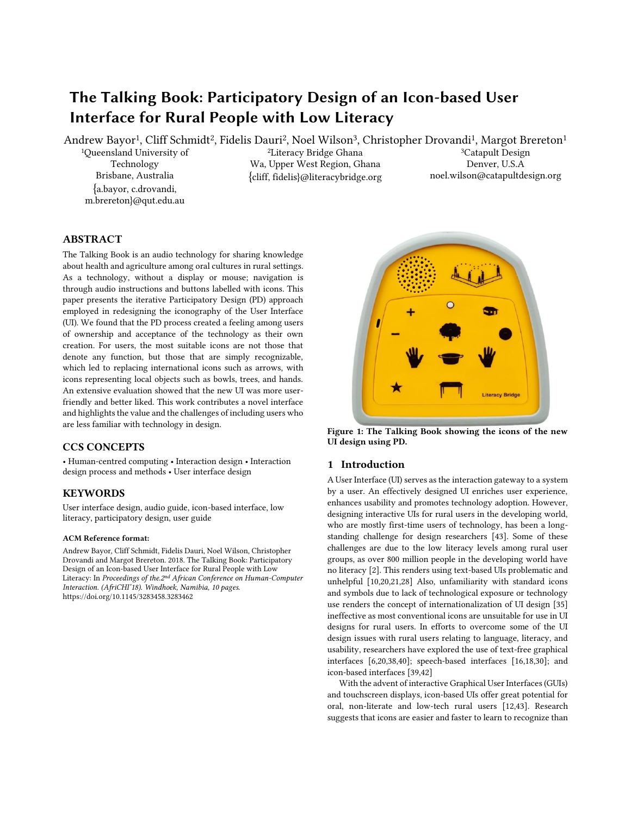# The Talking Book: Participatory Design of an Icon-based User Interface for Rural People with Low Literacy

Andrew Bayor<sup>1</sup>, Cliff Schmidt<sup>2</sup>, Fidelis Dauri<sup>2</sup>, Noel Wilson<sup>3</sup>, Christopher Drovandi<sup>1</sup>, Margot Brereton<sup>1</sup>

1Queensland University of Technology Brisbane, Australia {a.bayor, c.drovandi, m.brereton}@qut.edu.au

2Literacy Bridge Ghana Wa, Upper West Region, Ghana {cliff, fidelis}@literacybridge.org

3Catapult Design Denver, U.S.A noel.wilson@catapultdesign.org

## ABSTRACT

The Talking Book is an audio technology for sharing knowledge about health and agriculture among oral cultures in rural settings. As a technology, without a display or mouse; navigation is through audio instructions and buttons labelled with icons. This paper presents the iterative Participatory Design (PD) approach employed in redesigning the iconography of the User Interface (UI). We found that the PD process created a feeling among users of ownership and acceptance of the technology as their own creation. For users, the most suitable icons are not those that denote any function, but those that are simply recognizable, which led to replacing international icons such as arrows, with icons representing local objects such as bowls, trees, and hands. An extensive evaluation showed that the new UI was more userfriendly and better liked. This work contributes a novel interface and highlights the value and the challenges of including users who are less familiar with technology in design.

# CCS CONCEPTS

• Human-centred computing • Interaction design • Interaction design process and methods • User interface design

# **KEYWORDS**

User interface design, audio guide, icon-based interface, low literacy, participatory design, user guide

#### ACM Reference format:

Andrew Bayor, Cliff Schmidt, Fidelis Dauri, Noel Wilson, Christopher Drovandi and Margot Brereton. 2018. The Talking Book: Participatory Design of an Icon-based User Interface for Rural People with Low Literacy: In Proceedings of the.2nd African Conference on Human-Computer Interaction. (AfriCHI'18). Windhoek, Namibia, 10 pages. https://doi.org/10.1145/3283458.3283462



Figure 1: The Talking Book showing the icons of the new UI design using PD.

# 1 Introduction

A User Interface (UI) serves as the interaction gateway to a system by a user. An effectively designed UI enriches user experience, enhances usability and promotes technology adoption. However, designing interactive UIs for rural users in the developing world, who are mostly first-time users of technology, has been a longstanding challenge for design researchers [43]. Some of these challenges are due to the low literacy levels among rural user groups, as over 800 million people in the developing world have no literacy [2]. This renders using text-based UIs problematic and unhelpful [10,20,21,28] Also, unfamiliarity with standard icons and symbols due to lack of technological exposure or technology use renders the concept of internationalization of UI design [35] ineffective as most conventional icons are unsuitable for use in UI designs for rural users. In efforts to overcome some of the UI design issues with rural users relating to language, literacy, and usability, researchers have explored the use of text-free graphical interfaces [6,20,38,40]; speech-based interfaces [16,18,30]; and icon-based interfaces [39,42]

With the advent of interactive Graphical User Interfaces (GUIs) and touchscreen displays, icon-based UIs offer great potential for oral, non-literate and low-tech rural users [12,43]. Research suggests that icons are easier and faster to learn to recognize than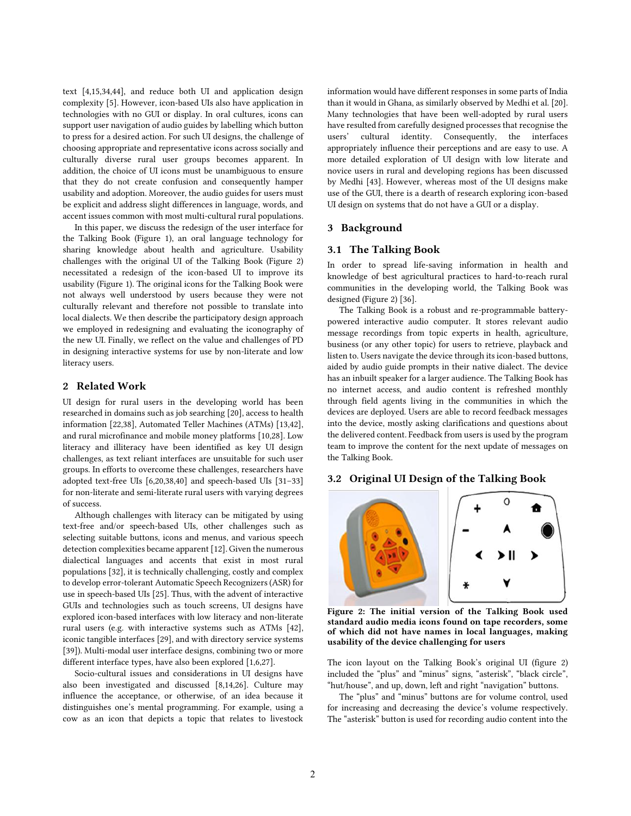text [4,15,34,44], and reduce both UI and application design complexity [5]. However, icon-based UIs also have application in technologies with no GUI or display. In oral cultures, icons can support user navigation of audio guides by labelling which button to press for a desired action. For such UI designs, the challenge of choosing appropriate and representative icons across socially and culturally diverse rural user groups becomes apparent. In addition, the choice of UI icons must be unambiguous to ensure that they do not create confusion and consequently hamper usability and adoption. Moreover, the audio guides for users must be explicit and address slight differences in language, words, and accent issues common with most multi-cultural rural populations.

In this paper, we discuss the redesign of the user interface for the Talking Book (Figure 1), an oral language technology for sharing knowledge about health and agriculture. Usability challenges with the original UI of the Talking Book (Figure 2) necessitated a redesign of the icon-based UI to improve its usability (Figure 1). The original icons for the Talking Book were not always well understood by users because they were not culturally relevant and therefore not possible to translate into local dialects. We then describe the participatory design approach we employed in redesigning and evaluating the iconography of the new UI. Finally, we reflect on the value and challenges of PD in designing interactive systems for use by non-literate and low literacy users.

## 2 Related Work

UI design for rural users in the developing world has been researched in domains such as job searching [20], access to health information [22,38], Automated Teller Machines (ATMs) [13,42], and rural microfinance and mobile money platforms [10,28]. Low literacy and illiteracy have been identified as key UI design challenges, as text reliant interfaces are unsuitable for such user groups. In efforts to overcome these challenges, researchers have adopted text-free UIs [6,20,38,40] and speech-based UIs [31–33] for non-literate and semi-literate rural users with varying degrees of success.

Although challenges with literacy can be mitigated by using text-free and/or speech-based UIs, other challenges such as selecting suitable buttons, icons and menus, and various speech detection complexities became apparent [12]. Given the numerous dialectical languages and accents that exist in most rural populations [32], it is technically challenging, costly and complex to develop error-tolerant Automatic Speech Recognizers (ASR) for use in speech-based UIs [25]. Thus, with the advent of interactive GUIs and technologies such as touch screens, UI designs have explored icon-based interfaces with low literacy and non-literate rural users (e.g. with interactive systems such as ATMs [42], iconic tangible interfaces [29], and with directory service systems [39]). Multi-modal user interface designs, combining two or more different interface types, have also been explored [1,6,27].

Socio-cultural issues and considerations in UI designs have also been investigated and discussed [8,14,26]. Culture may influence the acceptance, or otherwise, of an idea because it distinguishes one's mental programming. For example, using a cow as an icon that depicts a topic that relates to livestock

information would have different responses in some parts of India than it would in Ghana, as similarly observed by Medhi et al. [20]. Many technologies that have been well-adopted by rural users have resulted from carefully designed processes that recognise the users' cultural identity. Consequently, the interfaces appropriately influence their perceptions and are easy to use. A more detailed exploration of UI design with low literate and novice users in rural and developing regions has been discussed by Medhi [43]. However, whereas most of the UI designs make use of the GUI, there is a dearth of research exploring icon-based UI design on systems that do not have a GUI or a display.

## 3 Background

### 3.1 The Talking Book

In order to spread life-saving information in health and knowledge of best agricultural practices to hard-to-reach rural communities in the developing world, the Talking Book was designed (Figure 2) [36].

The Talking Book is a robust and re-programmable batterypowered interactive audio computer. It stores relevant audio message recordings from topic experts in health, agriculture, business (or any other topic) for users to retrieve, playback and listen to. Users navigate the device through its icon-based buttons, aided by audio guide prompts in their native dialect. The device has an inbuilt speaker for a larger audience. The Talking Book has no internet access, and audio content is refreshed monthly through field agents living in the communities in which the devices are deployed. Users are able to record feedback messages into the device, mostly asking clarifications and questions about the delivered content. Feedback from users is used by the program team to improve the content for the next update of messages on the Talking Book.

## 3.2 Original UI Design of the Talking Book



Figure 2: The initial version of the Talking Book used standard audio media icons found on tape recorders, some of which did not have names in local languages, making usability of the device challenging for users

The icon layout on the Talking Book's original UI (figure 2) included the "plus" and "minus" signs, "asterisk", "black circle", "hut/house", and up, down, left and right "navigation" buttons.

The "plus" and "minus" buttons are for volume control, used for increasing and decreasing the device's volume respectively. The "asterisk" button is used for recording audio content into the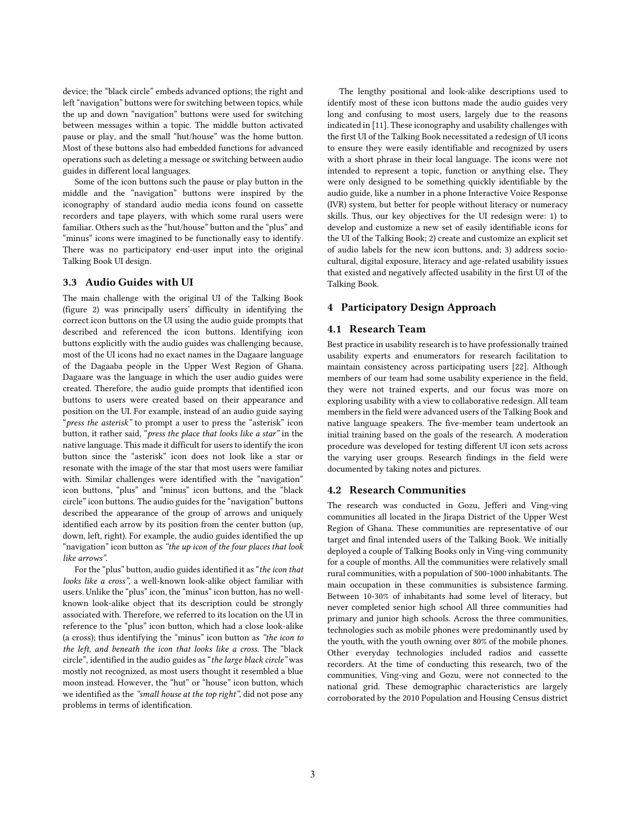device; the "black circle" embeds advanced options; the right and left "navigation" buttons were for switching between topics, while the up and down "navigation" buttons were used for switching between messages within a topic. The middle button activated pause or play, and the small "hut/house" was the home button. Most of these buttons also had embedded functions for advanced operations such as deleting a message or switching between audio guides in different local languages.

Some of the icon buttons such the pause or play button in the middle and the "navigation" buttons were inspired by the iconography of standard audio media icons found on cassette recorders and tape players, with which some rural users were familiar. Others such as the "hut/house" button and the "plus" and "minus" icons were imagined to be functionally easy to identify. There was no participatory end-user input into the original Talking Book UI design.

#### 3.3 Audio Guides with UI

The main challenge with the original UI of the Talking Book (figure 2) was principally users' difficulty in identifying the correct icon buttons on the UI using the audio guide prompts that described and referenced the icon buttons. Identifying icon buttons explicitly with the audio guides was challenging because, most of the UI icons had no exact names in the Dagaare language of the Dagaaba people in the Upper West Region of Ghana. Dagaare was the language in which the user audio guides were created. Therefore, the audio guide prompts that identified icon buttons to users were created based on their appearance and position on the UI. For example, instead of an audio guide saying "press the asterisk" to prompt a user to press the "asterisk" icon button, it rather said, "press the place that looks like a star" in the native language. This made it difficult for users to identify the icon button since the "asterisk" icon does not look like a star or resonate with the image of the star that most users were familiar with. Similar challenges were identified with the "navigation" icon buttons, "plus" and "minus" icon buttons, and the "black circle" icon buttons. The audio guides for the "navigation" buttons described the appearance of the group of arrows and uniquely identified each arrow by its position from the center button (up, down, left, right). For example, the audio guides identified the up "navigation" icon button as "the up icon of the four places that look like arrows".

For the "plus" button, audio guides identified it as "the icon that looks like a cross", a well-known look-alike object familiar with users. Unlike the "plus" icon, the "minus" icon button, has no wellknown look-alike object that its description could be strongly associated with. Therefore, we referred to its location on the UI in reference to the "plus" icon button, which had a close look-alike (a cross); thus identifying the "minus" icon button as "the icon to the left, and beneath the icon that looks like a cross. The "black circle", identified in the audio guides as "the large black circle" was mostly not recognized, as most users thought it resembled a blue moon instead. However, the "hut" or "house" icon button, which we identified as the "small house at the top right", did not pose any problems in terms of identification.

The lengthy positional and look-alike descriptions used to identify most of these icon buttons made the audio guides very long and confusing to most users, largely due to the reasons indicated in [11]. These iconography and usability challenges with the first UI of the Talking Book necessitated a redesign of UI icons to ensure they were easily identifiable and recognized by users with a short phrase in their local language. The icons were not intended to represent a topic, function or anything else. They were only designed to be something quickly identifiable by the audio guide, like a number in a phone Interactive Voice Response (IVR) system, but better for people without literacy or numeracy skills. Thus, our key objectives for the UI redesign were: 1) to develop and customize a new set of easily identifiable icons for the UI of the Talking Book; 2) create and customize an explicit set of audio labels for the new icon buttons, and; 3) address sociocultural, digital exposure, literacy and age-related usability issues that existed and negatively affected usability in the first UI of the Talking Book.

### 4 Participatory Design Approach

## 4.1 Research Team

Best practice in usability research is to have professionally trained usability experts and enumerators for research facilitation to maintain consistency across participating users [22]. Although members of our team had some usability experience in the field, they were not trained experts, and our focus was more on exploring usability with a view to collaborative redesign. All team members in the field were advanced users of the Talking Book and native language speakers. The five-member team undertook an initial training based on the goals of the research. A moderation procedure was developed for testing different UI icon sets across the varying user groups. Research findings in the field were documented by taking notes and pictures.

## 4.2 Research Communities

The research was conducted in Gozu, Jefferi and Ving-ving communities all located in the Jirapa District of the Upper West Region of Ghana. These communities are representative of our target and final intended users of the Talking Book. We initially deployed a couple of Talking Books only in Ving-ving community for a couple of months. All the communities were relatively small rural communities, with a population of 500-1000 inhabitants. The main occupation in these communities is subsistence farming. Between 10-30% of inhabitants had some level of literacy, but never completed senior high school All three communities had primary and junior high schools. Across the three communities, technologies such as mobile phones were predominantly used by the youth, with the youth owning over 80% of the mobile phones. Other everyday technologies included radios and cassette recorders. At the time of conducting this research, two of the communities, Ving-ving and Gozu, were not connected to the national grid. These demographic characteristics are largely corroborated by the 2010 Population and Housing Census district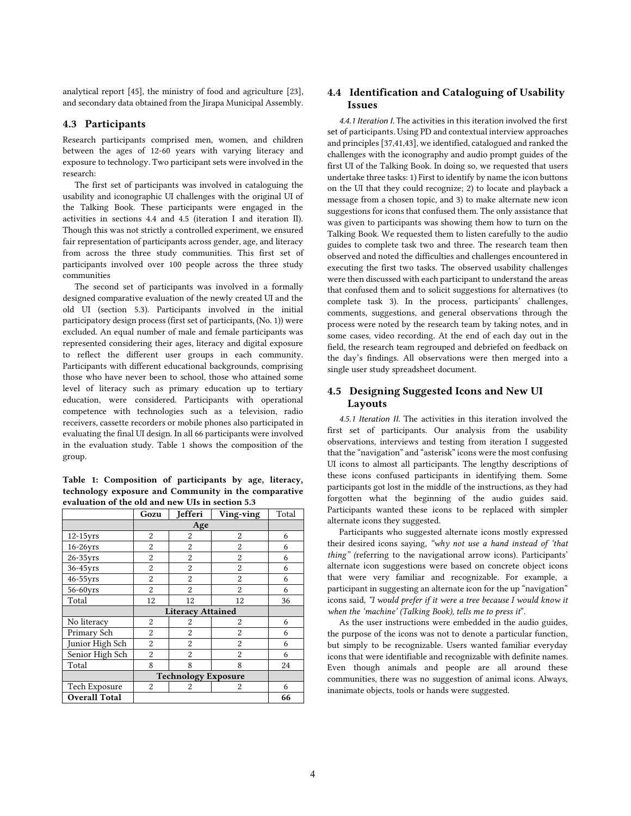analytical report [45], the ministry of food and agriculture [23], and secondary data obtained from the Jirapa Municipal Assembly.

## 4.3 Participants

Research participants comprised men, women, and children between the ages of 12-60 years with varying literacy and exposure to technology. Two participant sets were involved in the research:

The first set of participants was involved in cataloguing the usability and iconographic UI challenges with the original UI of the Talking Book. These participants were engaged in the activities in sections 4.4 and 4.5 (iteration I and iteration II). Though this was not strictly a controlled experiment, we ensured fair representation of participants across gender, age, and literacy from across the three study communities. This first set of participants involved over 100 people across the three study communities

The second set of participants was involved in a formally designed comparative evaluation of the newly created UI and the old UI (section 5.3). Participants involved in the initial participatory design process (first set of participants, (No. 1)) were excluded. An equal number of male and female participants was represented considering their ages, literacy and digital exposure to reflect the different user groups in each community. Participants with different educational backgrounds, comprising those who have never been to school, those who attained some level of literacy such as primary education up to tertiary education, were considered. Participants with operational competence with technologies such as a television, radio receivers, cassette recorders or mobile phones also participated in evaluating the final UI design. In all 66 participants were involved in the evaluation study. Table 1 shows the composition of the group.

Table 1: Composition of participants by age, literacy, technology exposure and Community in the comparative evaluation of the old and new UIs in section 5.3

|                      | Gozu                       | <b>Jefferi</b>           | Ving-ving      | Total |
|----------------------|----------------------------|--------------------------|----------------|-------|
|                      |                            | Age                      |                |       |
| $12-15$ yrs          | $\overline{2}$             | $\overline{2}$           | 2              | 6     |
| $16-26$ yrs          | $\overline{2}$             | 2                        | 2              | 6     |
| 26-35yrs             | $\overline{2}$             | $\overline{2}$           | 2              | 6     |
| 36-45yrs             | $\overline{2}$             | $\overline{2}$           | 2              | 6     |
| 46-55yrs             | $\overline{2}$             | $\overline{2}$           | $\overline{2}$ | 6     |
| 56-60yrs             | $\overline{2}$             | $\overline{2}$           | $\overline{2}$ | 6     |
| Total                | 12                         | 12                       | 12             | 36    |
|                      |                            | <b>Literacy Attained</b> |                |       |
| No literacy          | $\overline{2}$             | 2                        | 2              | 6     |
| Primary Sch          | $\overline{2}$             | $\overline{c}$           | $\overline{2}$ | 6     |
| Junior High Sch      | $\overline{2}$             | $\overline{2}$           | $\overline{2}$ | 6     |
| Senior High Sch      | $\overline{2}$             | $\overline{2}$           | $\overline{2}$ | 6     |
| Total                | 8                          | 8                        | 8              | 24    |
|                      | <b>Technology Exposure</b> |                          |                |       |
| Tech Exposure        | 2                          | 2                        | 2              | 6     |
| <b>Overall Total</b> |                            |                          |                | 66    |

# 4.4 Identification and Cataloguing of Usability Issues

4.4.1 Iteration I. The activities in this iteration involved the first set of participants. Using PD and contextual interview approaches and principles [37,41,43], we identified, catalogued and ranked the challenges with the iconography and audio prompt guides of the first UI of the Talking Book. In doing so, we requested that users undertake three tasks: 1) First to identify by name the icon buttons on the UI that they could recognize; 2) to locate and playback a message from a chosen topic, and 3) to make alternate new icon suggestions for icons that confused them. The only assistance that was given to participants was showing them how to turn on the Talking Book. We requested them to listen carefully to the audio guides to complete task two and three. The research team then observed and noted the difficulties and challenges encountered in executing the first two tasks. The observed usability challenges were then discussed with each participant to understand the areas that confused them and to solicit suggestions for alternatives (to complete task 3). In the process, participants' challenges, comments, suggestions, and general observations through the process were noted by the research team by taking notes, and in some cases, video recording. At the end of each day out in the field, the research team regrouped and debriefed on feedback on the day's findings. All observations were then merged into a single user study spreadsheet document.

# 4.5 Designing Suggested Icons and New UI Layouts

4.5.1 Iteration II. The activities in this iteration involved the first set of participants. Our analysis from the usability observations, interviews and testing from iteration I suggested that the "navigation" and "asterisk" icons were the most confusing UI icons to almost all participants. The lengthy descriptions of these icons confused participants in identifying them. Some participants got lost in the middle of the instructions, as they had forgotten what the beginning of the audio guides said. Participants wanted these icons to be replaced with simpler alternate icons they suggested.

Participants who suggested alternate icons mostly expressed their desired icons saying, "why not use a hand instead of 'that thing" (referring to the navigational arrow icons). Participants' alternate icon suggestions were based on concrete object icons that were very familiar and recognizable. For example, a participant in suggesting an alternate icon for the up "navigation" icons said, "I would prefer if it were a tree because I would know it when the 'machine' (Talking Book), tells me to press it".

As the user instructions were embedded in the audio guides, the purpose of the icons was not to denote a particular function, but simply to be recognizable. Users wanted familiar everyday icons that were identifiable and recognizable with definite names. Even though animals and people are all around these communities, there was no suggestion of animal icons. Always, inanimate objects, tools or hands were suggested.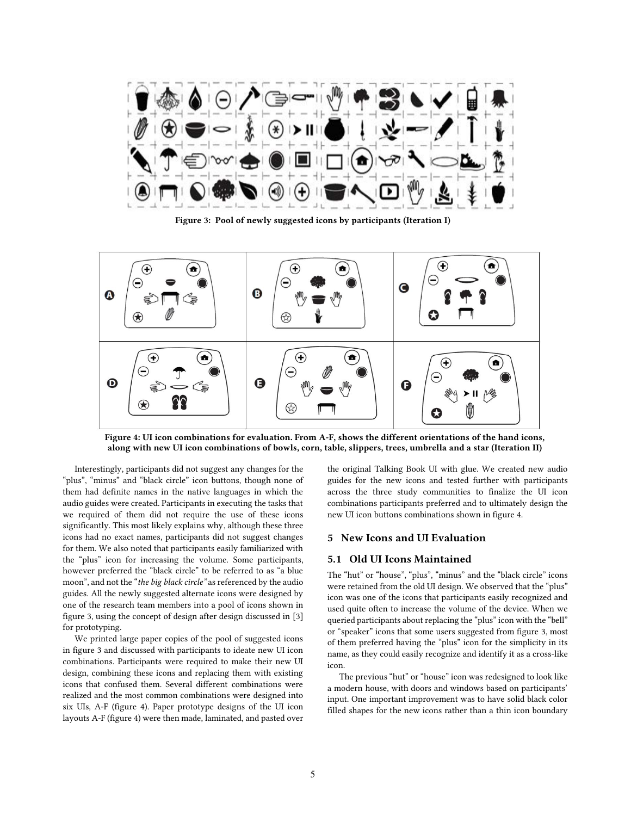

Figure 3: Pool of newly suggested icons by participants (Iteration I)



Figure 4: UI icon combinations for evaluation. From A-F, shows the different orientations of the hand icons, along with new UI icon combinations of bowls, corn, table, slippers, trees, umbrella and a star (Iteration II)

Interestingly, participants did not suggest any changes for the "plus", "minus" and "black circle" icon buttons, though none of them had definite names in the native languages in which the audio guides were created. Participants in executing the tasks that we required of them did not require the use of these icons significantly. This most likely explains why, although these three icons had no exact names, participants did not suggest changes for them. We also noted that participants easily familiarized with the "plus" icon for increasing the volume. Some participants, however preferred the "black circle" to be referred to as "a blue moon", and not the "the big black circle" as referenced by the audio guides. All the newly suggested alternate icons were designed by one of the research team members into a pool of icons shown in figure 3, using the concept of design after design discussed in [3] for prototyping.

We printed large paper copies of the pool of suggested icons in figure 3 and discussed with participants to ideate new UI icon combinations. Participants were required to make their new UI design, combining these icons and replacing them with existing icons that confused them. Several different combinations were realized and the most common combinations were designed into six UIs, A-F (figure 4). Paper prototype designs of the UI icon layouts A-F (figure 4) were then made, laminated, and pasted over

the original Talking Book UI with glue. We created new audio guides for the new icons and tested further with participants across the three study communities to finalize the UI icon combinations participants preferred and to ultimately design the new UI icon buttons combinations shown in figure 4.

#### 5 New Icons and UI Evaluation

#### 5.1 Old UI Icons Maintained

The "hut" or "house", "plus", "minus" and the "black circle" icons were retained from the old UI design. We observed that the "plus" icon was one of the icons that participants easily recognized and used quite often to increase the volume of the device. When we queried participants about replacing the "plus" icon with the "bell" or "speaker" icons that some users suggested from figure 3, most of them preferred having the "plus" icon for the simplicity in its name, as they could easily recognize and identify it as a cross-like icon.

The previous "hut" or "house" icon was redesigned to look like a modern house, with doors and windows based on participants' input. One important improvement was to have solid black color filled shapes for the new icons rather than a thin icon boundary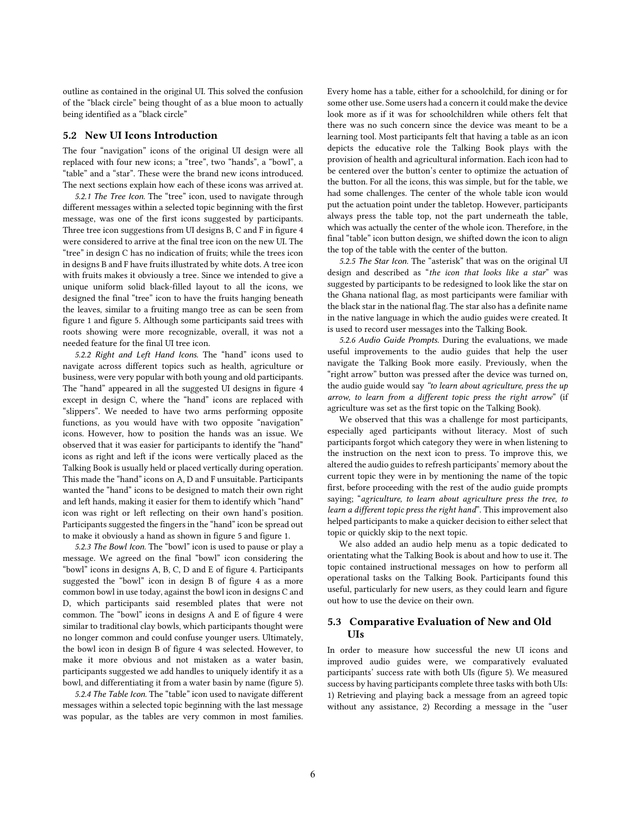outline as contained in the original UI. This solved the confusion of the "black circle" being thought of as a blue moon to actually being identified as a "black circle"

### 5.2 New UI Icons Introduction

The four "navigation" icons of the original UI design were all replaced with four new icons; a "tree", two "hands", a "bowl", a "table" and a "star". These were the brand new icons introduced. The next sections explain how each of these icons was arrived at.

5.2.1 The Tree Icon. The "tree" icon, used to navigate through different messages within a selected topic beginning with the first message, was one of the first icons suggested by participants. Three tree icon suggestions from UI designs B, C and F in figure 4 were considered to arrive at the final tree icon on the new UI. The "tree" in design C has no indication of fruits; while the trees icon in designs B and F have fruits illustrated by white dots. A tree icon with fruits makes it obviously a tree. Since we intended to give a unique uniform solid black-filled layout to all the icons, we designed the final "tree" icon to have the fruits hanging beneath the leaves, similar to a fruiting mango tree as can be seen from figure 1 and figure 5. Although some participants said trees with roots showing were more recognizable, overall, it was not a needed feature for the final UI tree icon.

5.2.2 Right and Left Hand Icons. The "hand" icons used to navigate across different topics such as health, agriculture or business, were very popular with both young and old participants. The "hand" appeared in all the suggested UI designs in figure 4 except in design C, where the "hand" icons are replaced with "slippers". We needed to have two arms performing opposite functions, as you would have with two opposite "navigation" icons. However, how to position the hands was an issue. We observed that it was easier for participants to identify the "hand" icons as right and left if the icons were vertically placed as the Talking Book is usually held or placed vertically during operation. This made the "hand" icons on A, D and F unsuitable. Participants wanted the "hand" icons to be designed to match their own right and left hands, making it easier for them to identify which "hand" icon was right or left reflecting on their own hand's position. Participants suggested the fingers in the "hand" icon be spread out to make it obviously a hand as shown in figure 5 and figure 1.

5.2.3 The Bowl Icon. The "bowl" icon is used to pause or play a message. We agreed on the final "bowl" icon considering the "bowl" icons in designs A, B, C, D and E of figure 4. Participants suggested the "bowl" icon in design B of figure 4 as a more common bowl in use today, against the bowl icon in designs C and D, which participants said resembled plates that were not common. The "bowl" icons in designs A and E of figure 4 were similar to traditional clay bowls, which participants thought were no longer common and could confuse younger users. Ultimately, the bowl icon in design B of figure 4 was selected. However, to make it more obvious and not mistaken as a water basin, participants suggested we add handles to uniquely identify it as a bowl, and differentiating it from a water basin by name (figure 5).

5.2.4 The Table Icon. The "table" icon used to navigate different messages within a selected topic beginning with the last message was popular, as the tables are very common in most families.

Every home has a table, either for a schoolchild, for dining or for some other use. Some users had a concern it could make the device look more as if it was for schoolchildren while others felt that there was no such concern since the device was meant to be a learning tool. Most participants felt that having a table as an icon depicts the educative role the Talking Book plays with the provision of health and agricultural information. Each icon had to be centered over the button's center to optimize the actuation of the button. For all the icons, this was simple, but for the table, we had some challenges. The center of the whole table icon would put the actuation point under the tabletop. However, participants always press the table top, not the part underneath the table, which was actually the center of the whole icon. Therefore, in the final "table" icon button design, we shifted down the icon to align the top of the table with the center of the button.

5.2.5 The Star Icon. The "asterisk" that was on the original UI design and described as "the icon that looks like a star" was suggested by participants to be redesigned to look like the star on the Ghana national flag, as most participants were familiar with the black star in the national flag. The star also has a definite name in the native language in which the audio guides were created. It is used to record user messages into the Talking Book.

5.2.6 Audio Guide Prompts. During the evaluations, we made useful improvements to the audio guides that help the user navigate the Talking Book more easily. Previously, when the "right arrow" button was pressed after the device was turned on, the audio guide would say "to learn about agriculture, press the up arrow, to learn from a different topic press the right arrow" (if agriculture was set as the first topic on the Talking Book).

We observed that this was a challenge for most participants, especially aged participants without literacy. Most of such participants forgot which category they were in when listening to the instruction on the next icon to press. To improve this, we altered the audio guides to refresh participants' memory about the current topic they were in by mentioning the name of the topic first, before proceeding with the rest of the audio guide prompts saying; "agriculture, to learn about agriculture press the tree, to learn a different topic press the right hand". This improvement also helped participants to make a quicker decision to either select that topic or quickly skip to the next topic.

We also added an audio help menu as a topic dedicated to orientating what the Talking Book is about and how to use it. The topic contained instructional messages on how to perform all operational tasks on the Talking Book. Participants found this useful, particularly for new users, as they could learn and figure out how to use the device on their own.

# 5.3 Comparative Evaluation of New and Old UIs

In order to measure how successful the new UI icons and improved audio guides were, we comparatively evaluated participants' success rate with both UIs (figure 5). We measured success by having participants complete three tasks with both UIs: 1) Retrieving and playing back a message from an agreed topic without any assistance, 2) Recording a message in the "user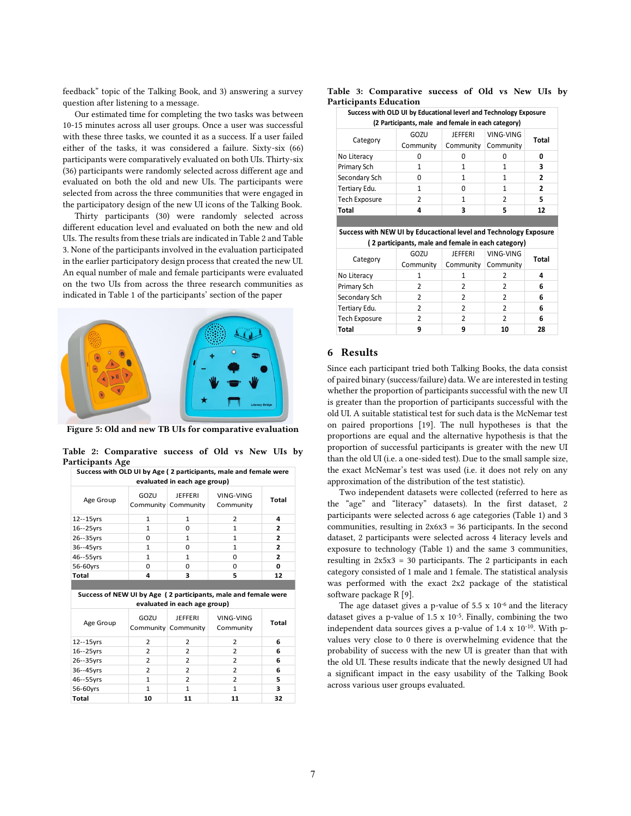feedback" topic of the Talking Book, and 3) answering a survey question after listening to a message.

Our estimated time for completing the two tasks was between 10-15 minutes across all user groups. Once a user was successful with these three tasks, we counted it as a success. If a user failed either of the tasks, it was considered a failure. Sixty-six (66) participants were comparatively evaluated on both UIs. Thirty-six (36) participants were randomly selected across different age and evaluated on both the old and new UIs. The participants were selected from across the three communities that were engaged in the participatory design of the new UI icons of the Talking Book.

Thirty participants (30) were randomly selected across different education level and evaluated on both the new and old UIs. The results from these trials are indicated in Table 2 and Table 3. None of the participants involved in the evaluation participated in the earlier participatory design process that created the new UI. An equal number of male and female participants were evaluated on the two UIs from across the three research communities as indicated in Table 1 of the participants' section of the paper



Figure 5: Old and new TB UIs for comparative evaluation

|  | Table 2: Comparative success of Old vs New UIs by |  |  |  |  |
|--|---------------------------------------------------|--|--|--|--|
|  | Participants Age                                  |  |  |  |  |

| Success with OLD UI by Age (2 participants, male and female were<br>evaluated in each age group) |      |                                       |                        |       |  |  |
|--------------------------------------------------------------------------------------------------|------|---------------------------------------|------------------------|-------|--|--|
| Age Group                                                                                        | GOZU | <b>JEFFERI</b><br>Community Community | VING-VING<br>Community | Total |  |  |
| $12 - 15$ yrs                                                                                    |      | 1                                     | $\mathcal{P}$          | 4     |  |  |
| $16 - 25$ yrs                                                                                    |      | n                                     | 1                      | 2     |  |  |
| 26--35yrs                                                                                        | O    |                                       | 1                      | 2     |  |  |
| 36--45yrs                                                                                        |      | n                                     | 1                      | 2     |  |  |
| 46--55yrs                                                                                        |      | 1                                     | O                      | 2     |  |  |
| 56-60yrs                                                                                         | O    |                                       | O                      | ი     |  |  |
| Total                                                                                            |      |                                       | 5                      | 12    |  |  |

| Success of NEW UI by Age (2 participants, male and female were<br>evaluated in each age group) |               |                                       |                        |       |  |  |
|------------------------------------------------------------------------------------------------|---------------|---------------------------------------|------------------------|-------|--|--|
| Age Group                                                                                      | GOZU          | <b>JEFFERI</b><br>Community Community | VING-VING<br>Community | Total |  |  |
| 12--15yrs                                                                                      | $\mathcal{P}$ | $\mathcal{P}$                         | $\mathcal{P}$          | 6     |  |  |
| $16 - 25$ yrs                                                                                  | $\mathcal{P}$ | $\mathcal{P}$                         | $\mathcal{P}$          | 6     |  |  |
| 26--35yrs                                                                                      | $\mathcal{P}$ | $\mathcal{P}$                         | $\mathcal{P}$          | 6     |  |  |
| 36--45yrs                                                                                      | $\mathcal{P}$ | $\mathcal{P}$                         | $\mathcal{P}$          | 6     |  |  |
| 46--55yrs                                                                                      |               | $\mathcal{P}$                         | $\mathcal{P}$          | 5     |  |  |
| 56-60yrs                                                                                       | 1             | 1                                     | 1                      | з     |  |  |
| Total                                                                                          | 10            | 11                                    | 11                     | 32    |  |  |

|  | Table 3: Comparative success of Old vs New UIs by |  |  |  |  |
|--|---------------------------------------------------|--|--|--|--|
|  | <b>Participants Education</b>                     |  |  |  |  |

|               | Success with OLD UI by Educational leverl and Technology Exposure<br>(2 Participants, male and female in each category) |                             |                        |       |
|---------------|-------------------------------------------------------------------------------------------------------------------------|-----------------------------|------------------------|-------|
| Category      | GOZU<br>Community                                                                                                       | <b>JEFFERI</b><br>Community | VING-VING<br>Community | Total |
| No Literacy   | ŋ                                                                                                                       |                             |                        | O     |
| Primary Sch   | 1                                                                                                                       |                             | 1                      | 3     |
| Secondary Sch | U                                                                                                                       | 1                           | 1                      | 2     |
| Tertiary Edu. | 1                                                                                                                       | O                           | 1                      | 2     |
| Tech Exposure | 2                                                                                                                       |                             | $\mathfrak z$          | 5     |
| <b>Total</b>  | 4                                                                                                                       |                             | 5                      | 12    |

| Success with NEW UI by Educactional level and Technology Exposure |
|-------------------------------------------------------------------|
| l 3 nominimente, male and forcela in each cotograph               |

| (2 participants, male and female in each category) |               |                |               |       |  |  |  |
|----------------------------------------------------|---------------|----------------|---------------|-------|--|--|--|
|                                                    | GOZU          | <b>JEFFERI</b> | VING-VING     | Total |  |  |  |
| Category                                           | Community     | Community      | Community     |       |  |  |  |
| No Literacy                                        |               |                |               |       |  |  |  |
| Primary Sch                                        | $\mathfrak z$ |                | ͻ             | 6     |  |  |  |
| Secondary Sch                                      | 2             | $\mathcal{P}$  | $\mathcal{P}$ | 6     |  |  |  |
| Tertiary Edu.                                      | $\mathfrak z$ | $\mathcal{P}$  | C             | 6     |  |  |  |
| <b>Tech Exposure</b>                               | $\mathfrak z$ | $\mathcal{P}$  | $\mathfrak z$ | 6     |  |  |  |
| <b>Total</b>                                       | g             |                | 10            | 28    |  |  |  |

#### 6 Results

Since each participant tried both Talking Books, the data consist of paired binary (success/failure) data. We are interested in testing whether the proportion of participants successful with the new UI is greater than the proportion of participants successful with the old UI. A suitable statistical test for such data is the McNemar test on paired proportions [19]. The null hypotheses is that the proportions are equal and the alternative hypothesis is that the proportion of successful participants is greater with the new UI than the old UI (i.e. a one-sided test). Due to the small sample size, the exact McNemar's test was used (i.e. it does not rely on any approximation of the distribution of the test statistic).

Two independent datasets were collected (referred to here as the "age" and "literacy" datasets). In the first dataset, 2 participants were selected across 6 age categories (Table 1) and 3 communities, resulting in 2x6x3 = 36 participants. In the second dataset, 2 participants were selected across 4 literacy levels and exposure to technology (Table 1) and the same 3 communities, resulting in 2x5x3 = 30 participants. The 2 participants in each category consisted of 1 male and 1 female. The statistical analysis was performed with the exact 2x2 package of the statistical software package R [9].

The age dataset gives a p-value of  $5.5 \times 10^{-6}$  and the literacy dataset gives a p-value of  $1.5 \times 10^{-5}$ . Finally, combining the two independent data sources gives a p-value of 1.4 x 10-10. With pvalues very close to 0 there is overwhelming evidence that the probability of success with the new UI is greater than that with the old UI. These results indicate that the newly designed UI had a significant impact in the easy usability of the Talking Book across various user groups evaluated.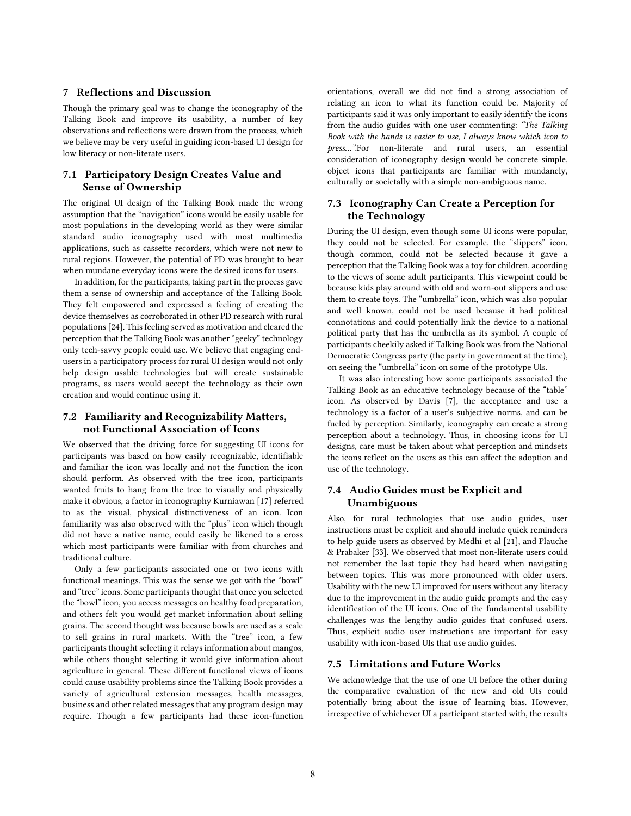#### 7 Reflections and Discussion

Though the primary goal was to change the iconography of the Talking Book and improve its usability, a number of key observations and reflections were drawn from the process, which we believe may be very useful in guiding icon-based UI design for low literacy or non-literate users.

# 7.1 Participatory Design Creates Value and Sense of Ownership

The original UI design of the Talking Book made the wrong assumption that the "navigation" icons would be easily usable for most populations in the developing world as they were similar standard audio iconography used with most multimedia applications, such as cassette recorders, which were not new to rural regions. However, the potential of PD was brought to bear when mundane everyday icons were the desired icons for users.

In addition, for the participants, taking part in the process gave them a sense of ownership and acceptance of the Talking Book. They felt empowered and expressed a feeling of creating the device themselves as corroborated in other PD research with rural populations[24]. This feeling served as motivation and cleared the perception that the Talking Book was another "geeky" technology only tech-savvy people could use. We believe that engaging endusers in a participatory process for rural UI design would not only help design usable technologies but will create sustainable programs, as users would accept the technology as their own creation and would continue using it.

## 7.2 Familiarity and Recognizability Matters, not Functional Association of Icons

We observed that the driving force for suggesting UI icons for participants was based on how easily recognizable, identifiable and familiar the icon was locally and not the function the icon should perform. As observed with the tree icon, participants wanted fruits to hang from the tree to visually and physically make it obvious, a factor in iconography Kurniawan [17] referred to as the visual, physical distinctiveness of an icon. Icon familiarity was also observed with the "plus" icon which though did not have a native name, could easily be likened to a cross which most participants were familiar with from churches and traditional culture.

Only a few participants associated one or two icons with functional meanings. This was the sense we got with the "bowl" and "tree" icons. Some participants thought that once you selected the "bowl" icon, you access messages on healthy food preparation, and others felt you would get market information about selling grains. The second thought was because bowls are used as a scale to sell grains in rural markets. With the "tree" icon, a few participants thought selecting it relays information about mangos, while others thought selecting it would give information about agriculture in general. These different functional views of icons could cause usability problems since the Talking Book provides a variety of agricultural extension messages, health messages, business and other related messages that any program design may require. Though a few participants had these icon-function orientations, overall we did not find a strong association of relating an icon to what its function could be. Majority of participants said it was only important to easily identify the icons from the audio guides with one user commenting: "The Talking Book with the hands is easier to use, I always know which icon to press…".For non-literate and rural users, an essential consideration of iconography design would be concrete simple, object icons that participants are familiar with mundanely, culturally or societally with a simple non-ambiguous name.

# 7.3 Iconography Can Create a Perception for the Technology

During the UI design, even though some UI icons were popular, they could not be selected. For example, the "slippers" icon, though common, could not be selected because it gave a perception that the Talking Book was a toy for children, according to the views of some adult participants. This viewpoint could be because kids play around with old and worn-out slippers and use them to create toys. The "umbrella" icon, which was also popular and well known, could not be used because it had political connotations and could potentially link the device to a national political party that has the umbrella as its symbol. A couple of participants cheekily asked if Talking Book was from the National Democratic Congress party (the party in government at the time), on seeing the "umbrella" icon on some of the prototype UIs.

It was also interesting how some participants associated the Talking Book as an educative technology because of the "table" icon. As observed by Davis [7], the acceptance and use a technology is a factor of a user's subjective norms, and can be fueled by perception. Similarly, iconography can create a strong perception about a technology. Thus, in choosing icons for UI designs, care must be taken about what perception and mindsets the icons reflect on the users as this can affect the adoption and use of the technology.

# 7.4 Audio Guides must be Explicit and Unambiguous

Also, for rural technologies that use audio guides, user instructions must be explicit and should include quick reminders to help guide users as observed by Medhi et al [21], and Plauche & Prabaker [33]. We observed that most non-literate users could not remember the last topic they had heard when navigating between topics. This was more pronounced with older users. Usability with the new UI improved for users without any literacy due to the improvement in the audio guide prompts and the easy identification of the UI icons. One of the fundamental usability challenges was the lengthy audio guides that confused users. Thus, explicit audio user instructions are important for easy usability with icon-based UIs that use audio guides.

#### 7.5 Limitations and Future Works

We acknowledge that the use of one UI before the other during the comparative evaluation of the new and old UIs could potentially bring about the issue of learning bias. However, irrespective of whichever UI a participant started with, the results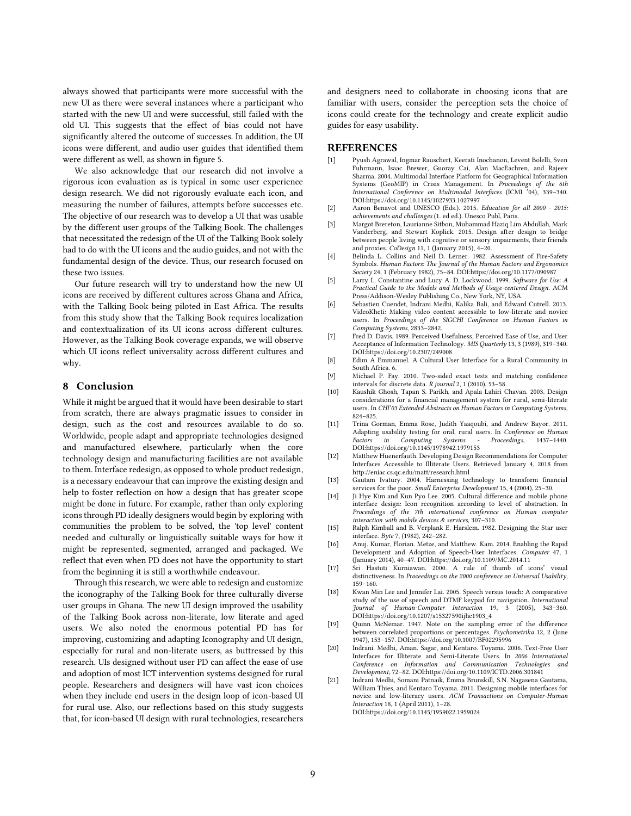always showed that participants were more successful with the new UI as there were several instances where a participant who started with the new UI and were successful, still failed with the old UI. This suggests that the effect of bias could not have significantly altered the outcome of successes. In addition, the UI icons were different, and audio user guides that identified them were different as well, as shown in figure 5.

We also acknowledge that our research did not involve a rigorous icon evaluation as is typical in some user experience design research. We did not rigorously evaluate each icon, and measuring the number of failures, attempts before successes etc. The objective of our research was to develop a UI that was usable by the different user groups of the Talking Book. The challenges that necessitated the redesign of the UI of the Talking Book solely had to do with the UI icons and the audio guides, and not with the fundamental design of the device. Thus, our research focused on these two issues.

Our future research will try to understand how the new UI icons are received by different cultures across Ghana and Africa, with the Talking Book being piloted in East Africa. The results from this study show that the Talking Book requires localization and contextualization of its UI icons across different cultures. However, as the Talking Book coverage expands, we will observe which UI icons reflect universality across different cultures and why.

#### 8 Conclusion

While it might be argued that it would have been desirable to start from scratch, there are always pragmatic issues to consider in design, such as the cost and resources available to do so. Worldwide, people adapt and appropriate technologies designed and manufactured elsewhere, particularly when the core technology design and manufacturing facilities are not available to them. Interface redesign, as opposed to whole product redesign, is a necessary endeavour that can improve the existing design and help to foster reflection on how a design that has greater scope might be done in future. For example, rather than only exploring icons through PD ideally designers would begin by exploring with communities the problem to be solved, the 'top level' content needed and culturally or linguistically suitable ways for how it might be represented, segmented, arranged and packaged. We reflect that even when PD does not have the opportunity to start from the beginning it is still a worthwhile endeavour.

Through this research, we were able to redesign and customize the iconography of the Talking Book for three culturally diverse user groups in Ghana. The new UI design improved the usability of the Talking Book across non-literate, low literate and aged users. We also noted the enormous potential PD has for improving, customizing and adapting Iconography and UI design, especially for rural and non-literate users, as buttressed by this research. UIs designed without user PD can affect the ease of use and adoption of most ICT intervention systems designed for rural people. Researchers and designers will have vast icon choices when they include end users in the design loop of icon-based UI for rural use. Also, our reflections based on this study suggests that, for icon-based UI design with rural technologies, researchers

and designers need to collaborate in choosing icons that are familiar with users, consider the perception sets the choice of icons could create for the technology and create explicit audio guides for easy usability.

### REFERENCES

- [1] Pyush Agrawal, Ingmar Rauschert, Keerati Inochanon, Levent Bolelli, Sven Fuhrmann, Isaac Brewer, Guoray Cai, Alan MacEachren, and Rajeev Sharma. 2004. Multimodal Interface Platform for Geographical Information Systems (GeoMIP) in Crisis Management. In Proceedings of the 6th International Conference on Multimodal Interfaces (ICMI '04), 339–340. DOI:https://doi.org/10.1145/1027933.1027997
- [2] Aaron Benavot and UNESCO (Eds.). 2015. Education for all 2000 2015: achievements and challenges (1. ed ed.). Unesco Publ, Paris.
- [3] Margot Brereton, Laurianne Sitbon, Muhammad Haziq Lim Abdullah, Mark Vanderberg, and Stewart Koplick. 2015. Design after design to bridge between people living with cognitive or sensory impairments, their friends and proxies. CoDesign 11, 1 (January 2015), 4–20.
- [4] Belinda L. Collins and Neil D. Lerner. 1982. Assessment of Fire-Safety Symbols. Human Factors: The Journal of the Human Factors and Ergonomics Society 24, 1 (February 1982), 75–84. DOI:https://doi.org/10.1177/090987
- [5] Larry L. Constantine and Lucy A. D. Lockwood. 1999. Software for Use: A Practical Guide to the Models and Methods of Usage-centered Design. ACM Press/Addison-Wesley Publishing Co., New York, NY, USA.
- [6] Sebastien Cuendet, Indrani Medhi, Kalika Bali, and Edward Cutrell. 2013. VideoKheti: Making video content accessible to low-literate and novice users. In Proceedings of the SIGCHI Conference on Human Factors in Computing Systems, 2833–2842.
- [7] Fred D. Davis. 1989. Perceived Usefulness, Perceived Ease of Use, and User Acceptance of Information Technology. MIS Quarterly 13, 3 (1989), 319–340. DOI:https://doi.org/10.2307/249008
- [8] Edim A Emmanuel. A Cultural User Interface for a Rural Community in South Africa. 6.
- [9] Michael P. Fay. 2010. Two-sided exact tests and matching confidence intervals for discrete data. R journal 2, 1 (2010), 53–58.
- [10] Kaushik Ghosh, Tapan S. Parikh, and Apala Lahiri Chavan. 2003. Design considerations for a financial management system for rural, semi-literate users. In CHI'03 Extended Abstracts on Human Factors in Computing Systems, 824–825.
- [11] Trina Gorman, Emma Rose, Judith Yaaqoubi, and Andrew Bayor. 2011. Adapting usability testing for oral, rural users. In *Conference on Human Factors in Computing Systems - Proceedings*, 1437–1440. Computing DOI:https://doi.org/10.1145/1978942.1979153
- [12] Matthew Huenerfauth. Developing Design Recommendations for Computer Interfaces Accessible to Illiterate Users. Retrieved January 4, 2018 from http://eniac.cs.qc.edu/matt/research.html
- [13] Gautam Ivatury. 2004. Harnessing technology to transform financial services for the poor. Small Enterprise Development 15, 4 (2004), 25–30.
- [14] Ji Hye Kim and Kun Pyo Lee. 2005. Cultural difference and mobile phone interface design: Icon recognition according to level of abstraction. In Proceedings of the 7th international conference on Human computer interaction with mobile devices & services, 307–310.
- [15] Ralph Kimball and B. Verplank E. Harslem. 1982. Designing the Star user interface. Byte 7, (1982), 242–282.
- [16] Anuj. Kumar, Florian. Metze, and Matthew. Kam. 2014. Enabling the Rapid Development and Adoption of Speech-User Interfaces. Computer 47, 1 (January 2014), 40–47. DOI:https://doi.org/10.1109/MC.2014.11
- [17] Sri Hastuti Kurniawan. 2000. A rule of thumb of icons' visual distinctiveness. In Proceedings on the 2000 conference on Universal Usability, 159–160.
- [18] Kwan Min Lee and Jennifer Lai. 2005. Speech versus touch: A comparative study of the use of speech and DTMF keypad for navigation. International  $Journal$  of  $Human Computer$  Interaction 19, 3 (2005), 343–360. Journal of Human-Computer Interaction 19, 3 DOI:https://doi.org/10.1207/s15327590ijhc1903\_4
- [19] Quinn McNemar. 1947. Note on the sampling error of the difference between correlated proportions or percentages. Psychometrika 12, 2 (June 1947), 153–157. DOI:https://doi.org/10.1007/BF02295996
- [20] Indrani. Medhi, Aman. Sagar, and Kentaro. Toyama. 2006. Text-Free User Interfaces for Illiterate and Semi-Literate Users. In 2006 International Conference on Information and Communication Technologies and Development, 72–82. DOI:https://doi.org/10.1109/ICTD.2006.301841
- [21] Indrani Medhi, Somani Patnaik, Emma Brunskill, S.N. Nagasena Gautama, William Thies, and Kentaro Toyama. 2011. Designing mobile interfaces for novice and low-literacy users. ACM Transactions on Computer-Human Interaction 18, 1 (April 2011), 1–28. DOI:https://doi.org/10.1145/1959022.1959024